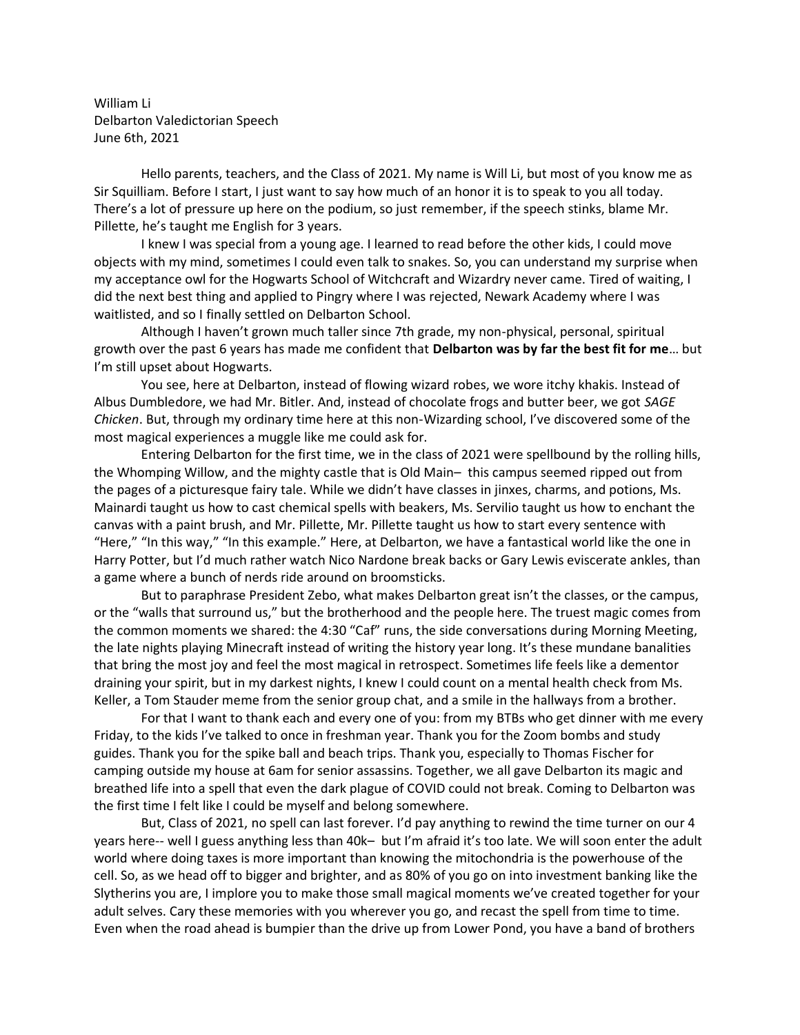William Li Delbarton Valedictorian Speech June 6th, 2021

Hello parents, teachers, and the Class of 2021. My name is Will Li, but most of you know me as Sir Squilliam. Before I start, I just want to say how much of an honor it is to speak to you all today. There's a lot of pressure up here on the podium, so just remember, if the speech stinks, blame Mr. Pillette, he's taught me English for 3 years.

I knew I was special from a young age. I learned to read before the other kids, I could move objects with my mind, sometimes I could even talk to snakes. So, you can understand my surprise when my acceptance owl for the Hogwarts School of Witchcraft and Wizardry never came. Tired of waiting, I did the next best thing and applied to Pingry where I was rejected, Newark Academy where I was waitlisted, and so I finally settled on Delbarton School.

Although I haven't grown much taller since 7th grade, my non-physical, personal, spiritual growth over the past 6 years has made me confident that **Delbarton was by far the best fit for me**… but I'm still upset about Hogwarts.

You see, here at Delbarton, instead of flowing wizard robes, we wore itchy khakis. Instead of Albus Dumbledore, we had Mr. Bitler. And, instead of chocolate frogs and butter beer, we got *SAGE Chicken*. But, through my ordinary time here at this non-Wizarding school, I've discovered some of the most magical experiences a muggle like me could ask for.

Entering Delbarton for the first time, we in the class of 2021 were spellbound by the rolling hills, the Whomping Willow, and the mighty castle that is Old Main– this campus seemed ripped out from the pages of a picturesque fairy tale. While we didn't have classes in jinxes, charms, and potions, Ms. Mainardi taught us how to cast chemical spells with beakers, Ms. Servilio taught us how to enchant the canvas with a paint brush, and Mr. Pillette, Mr. Pillette taught us how to start every sentence with "Here," "In this way," "In this example." Here, at Delbarton, we have a fantastical world like the one in Harry Potter, but I'd much rather watch Nico Nardone break backs or Gary Lewis eviscerate ankles, than a game where a bunch of nerds ride around on broomsticks.

But to paraphrase President Zebo, what makes Delbarton great isn't the classes, or the campus, or the "walls that surround us," but the brotherhood and the people here. The truest magic comes from the common moments we shared: the 4:30 "Caf" runs, the side conversations during Morning Meeting, the late nights playing Minecraft instead of writing the history year long. It's these mundane banalities that bring the most joy and feel the most magical in retrospect. Sometimes life feels like a dementor draining your spirit, but in my darkest nights, I knew I could count on a mental health check from Ms. Keller, a Tom Stauder meme from the senior group chat, and a smile in the hallways from a brother.

For that I want to thank each and every one of you: from my BTBs who get dinner with me every Friday, to the kids I've talked to once in freshman year. Thank you for the Zoom bombs and study guides. Thank you for the spike ball and beach trips. Thank you, especially to Thomas Fischer for camping outside my house at 6am for senior assassins. Together, we all gave Delbarton its magic and breathed life into a spell that even the dark plague of COVID could not break. Coming to Delbarton was the first time I felt like I could be myself and belong somewhere.

But, Class of 2021, no spell can last forever. I'd pay anything to rewind the time turner on our 4 years here-- well I guess anything less than 40k– but I'm afraid it's too late. We will soon enter the adult world where doing taxes is more important than knowing the mitochondria is the powerhouse of the cell. So, as we head off to bigger and brighter, and as 80% of you go on into investment banking like the Slytherins you are, I implore you to make those small magical moments we've created together for your adult selves. Cary these memories with you wherever you go, and recast the spell from time to time. Even when the road ahead is bumpier than the drive up from Lower Pond, you have a band of brothers